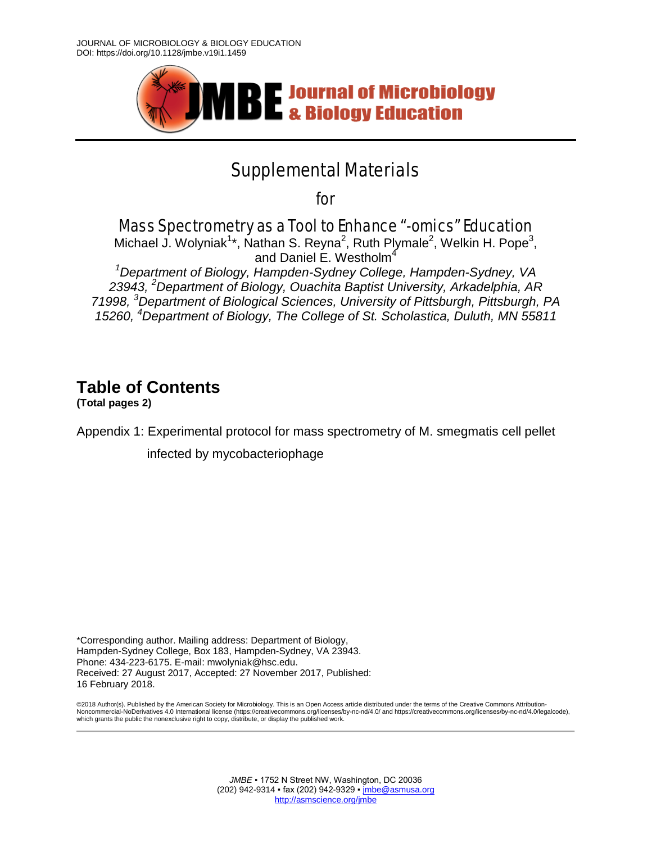

## Supplemental Materials

for

Mass Spectrometry as a Tool to Enhance "-omics" Education

Michael J. Wolyniak<sup>1\*</sup>, Nathan S. Reyna<sup>2</sup>, Ruth Plymale<sup>2</sup>, Welkin H. Pope<sup>3</sup>, and Daniel E. Westholm<sup>4</sup>

*1 Department of Biology, Hampden-Sydney College, Hampden-Sydney, VA 23943, 2 Department of Biology, Ouachita Baptist University, Arkadelphia, AR 71998, 3 Department of Biological Sciences, University of Pittsburgh, Pittsburgh, PA 15260, 4 Department of Biology, The College of St. Scholastica, Duluth, MN 55811*

## **Table of Contents**

**(Total pages 2)**

Appendix 1: Experimental protocol for mass spectrometry of M. smegmatis cell pellet

infected by mycobacteriophage

\*Corresponding author. Mailing address: Department of Biology, Hampden-Sydney College, Box 183, Hampden-Sydney, VA 23943. Phone: 434-223-6175. E-mail: mwolyniak@hsc.edu. Received: 27 August 2017, Accepted: 27 November 2017, Published: 16 February 2018.

©2018 Author(s). Published by the American Society for Microbiology. This is an Open Access article distributed under the terms of the Creative Commons Attribution-<br>Noncommercial-NoDerivatives 4.0 International license (ht which grants the public the nonexclusive right to copy, distribute, or display the published work.